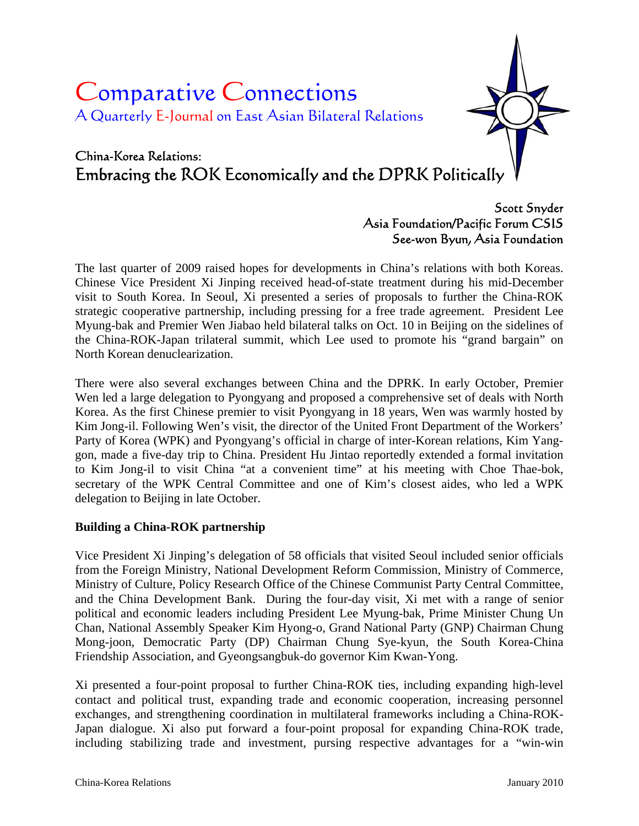# Comparative Connections A Quarterly E-Journal on East Asian Bilateral Relations

# China-Korea Relations: Embracing the ROK Economically and the DPRK Politically

# Scott Snyder Asia Foundation/Pacific Forum CSIS See-won Byun, Asia Foundation

The last quarter of 2009 raised hopes for developments in China's relations with both Koreas. Chinese Vice President Xi Jinping received head-of-state treatment during his mid-December visit to South Korea. In Seoul, Xi presented a series of proposals to further the China-ROK strategic cooperative partnership, including pressing for a free trade agreement. President Lee Myung-bak and Premier Wen Jiabao held bilateral talks on Oct. 10 in Beijing on the sidelines of the China-ROK-Japan trilateral summit, which Lee used to promote his "grand bargain" on North Korean denuclearization.

There were also several exchanges between China and the DPRK. In early October, Premier Wen led a large delegation to Pyongyang and proposed a comprehensive set of deals with North Korea. As the first Chinese premier to visit Pyongyang in 18 years, Wen was warmly hosted by Kim Jong-il. Following Wen's visit, the director of the United Front Department of the Workers' Party of Korea (WPK) and Pyongyang's official in charge of inter-Korean relations, Kim Yanggon, made a five-day trip to China. President Hu Jintao reportedly extended a formal invitation to Kim Jong-il to visit China "at a convenient time" at his meeting with Choe Thae-bok, secretary of the WPK Central Committee and one of Kim's closest aides, who led a WPK delegation to Beijing in late October.

### **Building a China-ROK partnership**

Vice President Xi Jinping's delegation of 58 officials that visited Seoul included senior officials from the Foreign Ministry, National Development Reform Commission, Ministry of Commerce, Ministry of Culture, Policy Research Office of the Chinese Communist Party Central Committee, and the China Development Bank. During the four-day visit, Xi met with a range of senior political and economic leaders including President Lee Myung-bak, Prime Minister Chung Un Chan, National Assembly Speaker Kim Hyong-o, Grand National Party (GNP) Chairman Chung Mong-joon, Democratic Party (DP) Chairman Chung Sye-kyun, the South Korea-China Friendship Association, and Gyeongsangbuk-do governor Kim Kwan-Yong.

Xi presented a four-point proposal to further China-ROK ties, including expanding high-level contact and political trust, expanding trade and economic cooperation, increasing personnel exchanges, and strengthening coordination in multilateral frameworks including a China-ROK-Japan dialogue. Xi also put forward a four-point proposal for expanding China-ROK trade, including stabilizing trade and investment, pursing respective advantages for a "win-win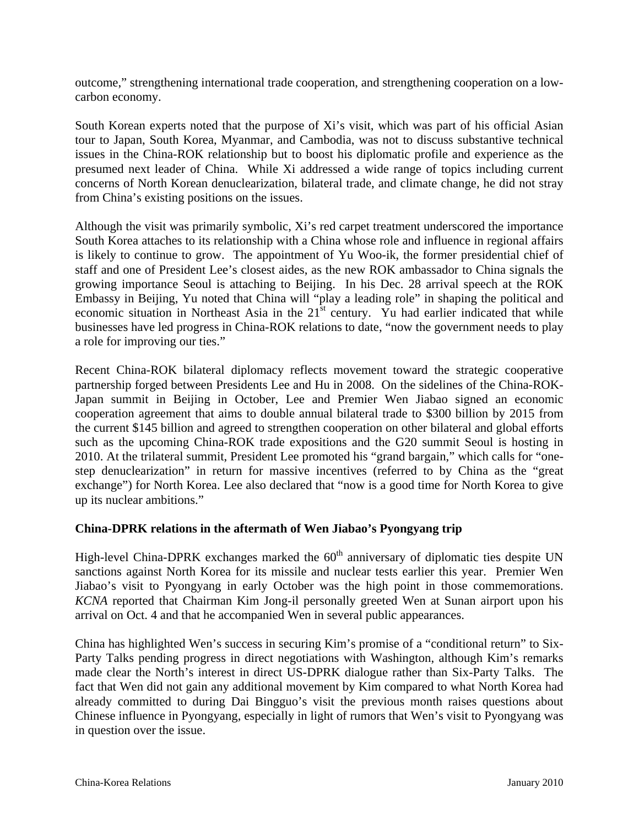outcome," strengthening international trade cooperation, and strengthening cooperation on a lowcarbon economy.

South Korean experts noted that the purpose of Xi's visit, which was part of his official Asian tour to Japan, South Korea, Myanmar, and Cambodia, was not to discuss substantive technical issues in the China-ROK relationship but to boost his diplomatic profile and experience as the presumed next leader of China. While Xi addressed a wide range of topics including current concerns of North Korean denuclearization, bilateral trade, and climate change, he did not stray from China's existing positions on the issues.

Although the visit was primarily symbolic, Xi's red carpet treatment underscored the importance South Korea attaches to its relationship with a China whose role and influence in regional affairs is likely to continue to grow. The appointment of Yu Woo-ik, the former presidential chief of staff and one of President Lee's closest aides, as the new ROK ambassador to China signals the growing importance Seoul is attaching to Beijing. In his Dec. 28 arrival speech at the ROK Embassy in Beijing, Yu noted that China will "play a leading role" in shaping the political and economic situation in Northeast Asia in the  $21<sup>st</sup>$  century. Yu had earlier indicated that while businesses have led progress in China-ROK relations to date, "now the government needs to play a role for improving our ties."

Recent China-ROK bilateral diplomacy reflects movement toward the strategic cooperative partnership forged between Presidents Lee and Hu in 2008. On the sidelines of the China-ROK-Japan summit in Beijing in October, Lee and Premier Wen Jiabao signed an economic cooperation agreement that aims to double annual bilateral trade to \$300 billion by 2015 from the current \$145 billion and agreed to strengthen cooperation on other bilateral and global efforts such as the upcoming China-ROK trade expositions and the G20 summit Seoul is hosting in 2010. At the trilateral summit, President Lee promoted his "grand bargain," which calls for "onestep denuclearization" in return for massive incentives (referred to by China as the "great exchange") for North Korea. Lee also declared that "now is a good time for North Korea to give up its nuclear ambitions."

#### **China-DPRK relations in the aftermath of Wen Jiabao's Pyongyang trip**

High-level China-DPRK exchanges marked the  $60<sup>th</sup>$  anniversary of diplomatic ties despite UN sanctions against North Korea for its missile and nuclear tests earlier this year. Premier Wen Jiabao's visit to Pyongyang in early October was the high point in those commemorations. *KCNA* reported that Chairman Kim Jong-il personally greeted Wen at Sunan airport upon his arrival on Oct. 4 and that he accompanied Wen in several public appearances.

China has highlighted Wen's success in securing Kim's promise of a "conditional return" to Six-Party Talks pending progress in direct negotiations with Washington, although Kim's remarks made clear the North's interest in direct US-DPRK dialogue rather than Six-Party Talks. The fact that Wen did not gain any additional movement by Kim compared to what North Korea had already committed to during Dai Bingguo's visit the previous month raises questions about Chinese influence in Pyongyang, especially in light of rumors that Wen's visit to Pyongyang was in question over the issue.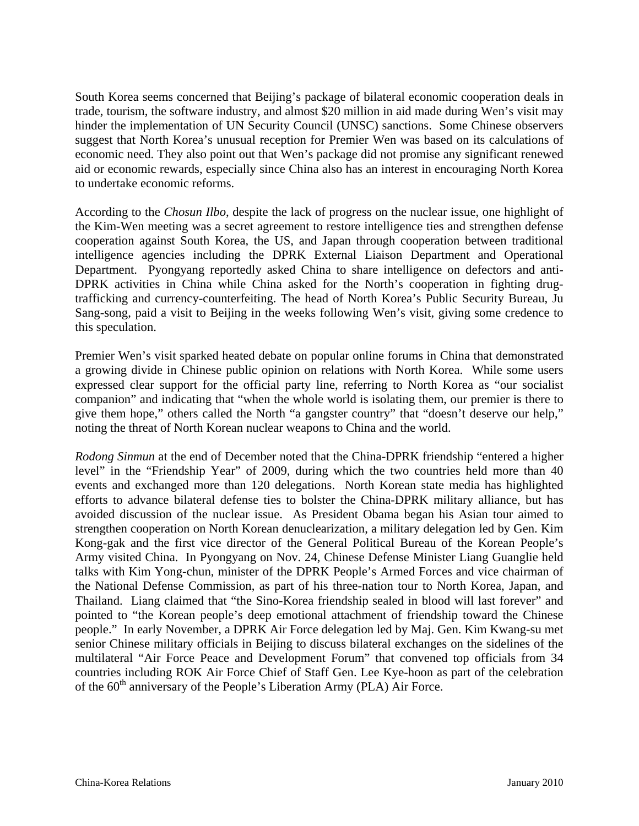South Korea seems concerned that Beijing's package of bilateral economic cooperation deals in trade, tourism, the software industry, and almost \$20 million in aid made during Wen's visit may hinder the implementation of UN Security Council (UNSC) sanctions. Some Chinese observers suggest that North Korea's unusual reception for Premier Wen was based on its calculations of economic need. They also point out that Wen's package did not promise any significant renewed aid or economic rewards, especially since China also has an interest in encouraging North Korea to undertake economic reforms.

According to the *Chosun Ilbo*, despite the lack of progress on the nuclear issue, one highlight of the Kim-Wen meeting was a secret agreement to restore intelligence ties and strengthen defense cooperation against South Korea, the US, and Japan through cooperation between traditional intelligence agencies including the DPRK External Liaison Department and Operational Department. Pyongyang reportedly asked China to share intelligence on defectors and anti-DPRK activities in China while China asked for the North's cooperation in fighting drugtrafficking and currency-counterfeiting. The head of North Korea's Public Security Bureau, Ju Sang-song, paid a visit to Beijing in the weeks following Wen's visit, giving some credence to this speculation.

Premier Wen's visit sparked heated debate on popular online forums in China that demonstrated a growing divide in Chinese public opinion on relations with North Korea. While some users expressed clear support for the official party line, referring to North Korea as "our socialist companion" and indicating that "when the whole world is isolating them, our premier is there to give them hope," others called the North "a gangster country" that "doesn't deserve our help," noting the threat of North Korean nuclear weapons to China and the world.

*Rodong Sinmun* at the end of December noted that the China-DPRK friendship "entered a higher level" in the "Friendship Year" of 2009, during which the two countries held more than 40 events and exchanged more than 120 delegations. North Korean state media has highlighted efforts to advance bilateral defense ties to bolster the China-DPRK military alliance, but has avoided discussion of the nuclear issue. As President Obama began his Asian tour aimed to strengthen cooperation on North Korean denuclearization, a military delegation led by Gen. Kim Kong-gak and the first vice director of the General Political Bureau of the Korean People's Army visited China. In Pyongyang on Nov. 24, Chinese Defense Minister Liang Guanglie held talks with Kim Yong-chun, minister of the DPRK People's Armed Forces and vice chairman of the National Defense Commission, as part of his three-nation tour to North Korea, Japan, and Thailand. Liang claimed that "the Sino-Korea friendship sealed in blood will last forever" and pointed to "the Korean people's deep emotional attachment of friendship toward the Chinese people." In early November, a DPRK Air Force delegation led by Maj. Gen. Kim Kwang-su met senior Chinese military officials in Beijing to discuss bilateral exchanges on the sidelines of the multilateral "Air Force Peace and Development Forum" that convened top officials from 34 countries including ROK Air Force Chief of Staff Gen. Lee Kye-hoon as part of the celebration of the 60<sup>th</sup> anniversary of the People's Liberation Army (PLA) Air Force.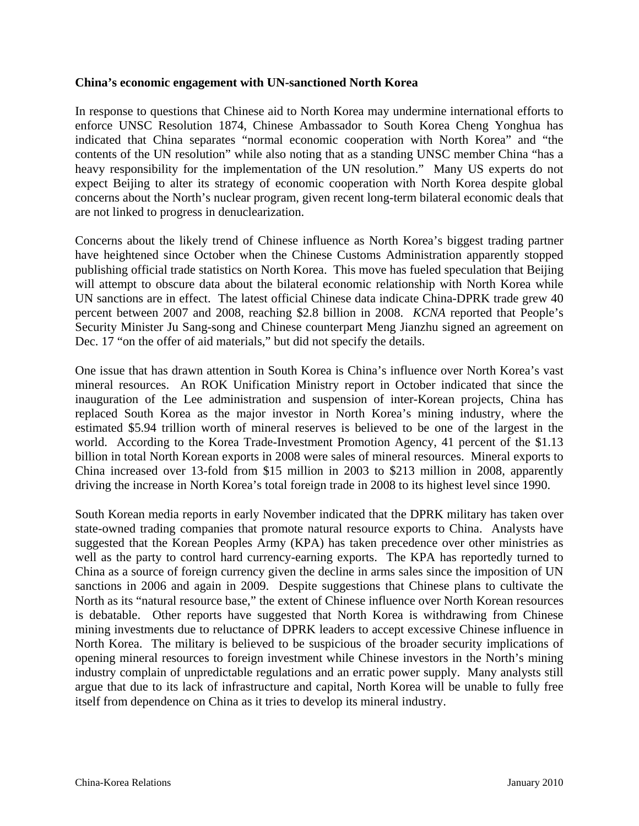#### **China's economic engagement with UN-sanctioned North Korea**

In response to questions that Chinese aid to North Korea may undermine international efforts to enforce UNSC Resolution 1874, Chinese Ambassador to South Korea Cheng Yonghua has indicated that China separates "normal economic cooperation with North Korea" and "the contents of the UN resolution" while also noting that as a standing UNSC member China "has a heavy responsibility for the implementation of the UN resolution." Many US experts do not expect Beijing to alter its strategy of economic cooperation with North Korea despite global concerns about the North's nuclear program, given recent long-term bilateral economic deals that are not linked to progress in denuclearization.

Concerns about the likely trend of Chinese influence as North Korea's biggest trading partner have heightened since October when the Chinese Customs Administration apparently stopped publishing official trade statistics on North Korea. This move has fueled speculation that Beijing will attempt to obscure data about the bilateral economic relationship with North Korea while UN sanctions are in effect. The latest official Chinese data indicate China-DPRK trade grew 40 percent between 2007 and 2008, reaching \$2.8 billion in 2008. *KCNA* reported that People's Security Minister Ju Sang-song and Chinese counterpart Meng Jianzhu signed an agreement on Dec. 17 "on the offer of aid materials," but did not specify the details.

One issue that has drawn attention in South Korea is China's influence over North Korea's vast mineral resources. An ROK Unification Ministry report in October indicated that since the inauguration of the Lee administration and suspension of inter-Korean projects, China has replaced South Korea as the major investor in North Korea's mining industry, where the estimated \$5.94 trillion worth of mineral reserves is believed to be one of the largest in the world. According to the Korea Trade-Investment Promotion Agency, 41 percent of the \$1.13 billion in total North Korean exports in 2008 were sales of mineral resources. Mineral exports to China increased over 13-fold from \$15 million in 2003 to \$213 million in 2008, apparently driving the increase in North Korea's total foreign trade in 2008 to its highest level since 1990.

South Korean media reports in early November indicated that the DPRK military has taken over state-owned trading companies that promote natural resource exports to China. Analysts have suggested that the Korean Peoples Army (KPA) has taken precedence over other ministries as well as the party to control hard currency-earning exports. The KPA has reportedly turned to China as a source of foreign currency given the decline in arms sales since the imposition of UN sanctions in 2006 and again in 2009. Despite suggestions that Chinese plans to cultivate the North as its "natural resource base," the extent of Chinese influence over North Korean resources is debatable. Other reports have suggested that North Korea is withdrawing from Chinese mining investments due to reluctance of DPRK leaders to accept excessive Chinese influence in North Korea. The military is believed to be suspicious of the broader security implications of opening mineral resources to foreign investment while Chinese investors in the North's mining industry complain of unpredictable regulations and an erratic power supply. Many analysts still argue that due to its lack of infrastructure and capital, North Korea will be unable to fully free itself from dependence on China as it tries to develop its mineral industry.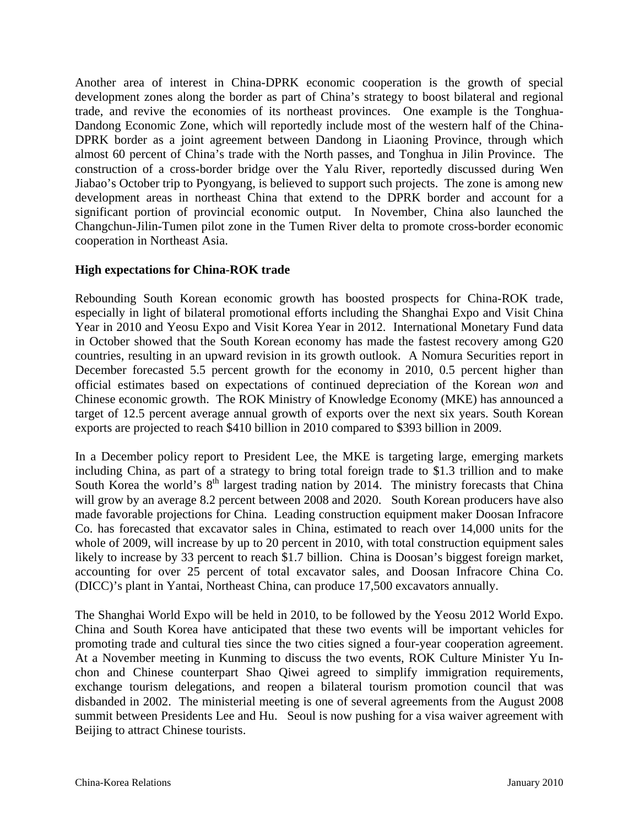Another area of interest in China-DPRK economic cooperation is the growth of special development zones along the border as part of China's strategy to boost bilateral and regional trade, and revive the economies of its northeast provinces. One example is the Tonghua-Dandong Economic Zone, which will reportedly include most of the western half of the China-DPRK border as a joint agreement between Dandong in Liaoning Province, through which almost 60 percent of China's trade with the North passes, and Tonghua in Jilin Province. The construction of a cross-border bridge over the Yalu River, reportedly discussed during Wen Jiabao's October trip to Pyongyang, is believed to support such projects. The zone is among new development areas in northeast China that extend to the DPRK border and account for a significant portion of provincial economic output. In November, China also launched the Changchun-Jilin-Tumen pilot zone in the Tumen River delta to promote cross-border economic cooperation in Northeast Asia.

#### **High expectations for China-ROK trade**

Rebounding South Korean economic growth has boosted prospects for China-ROK trade, especially in light of bilateral promotional efforts including the Shanghai Expo and Visit China Year in 2010 and Yeosu Expo and Visit Korea Year in 2012. International Monetary Fund data in October showed that the South Korean economy has made the fastest recovery among G20 countries, resulting in an upward revision in its growth outlook. A Nomura Securities report in December forecasted 5.5 percent growth for the economy in 2010, 0.5 percent higher than official estimates based on expectations of continued depreciation of the Korean *won* and Chinese economic growth. The ROK Ministry of Knowledge Economy (MKE) has announced a target of 12.5 percent average annual growth of exports over the next six years. South Korean exports are projected to reach \$410 billion in 2010 compared to \$393 billion in 2009.

In a December policy report to President Lee, the MKE is targeting large, emerging markets including China, as part of a strategy to bring total foreign trade to \$1.3 trillion and to make South Korea the world's  $8<sup>th</sup>$  largest trading nation by 2014. The ministry forecasts that China will grow by an average 8.2 percent between 2008 and 2020. South Korean producers have also made favorable projections for China. Leading construction equipment maker Doosan Infracore Co. has forecasted that excavator sales in China, estimated to reach over 14,000 units for the whole of 2009, will increase by up to 20 percent in 2010, with total construction equipment sales likely to increase by 33 percent to reach \$1.7 billion. China is Doosan's biggest foreign market, accounting for over 25 percent of total excavator sales, and Doosan Infracore China Co. (DICC)'s plant in Yantai, Northeast China, can produce 17,500 excavators annually.

The Shanghai World Expo will be held in 2010, to be followed by the Yeosu 2012 World Expo. China and South Korea have anticipated that these two events will be important vehicles for promoting trade and cultural ties since the two cities signed a four-year cooperation agreement. At a November meeting in Kunming to discuss the two events, ROK Culture Minister Yu Inchon and Chinese counterpart Shao Qiwei agreed to simplify immigration requirements, exchange tourism delegations, and reopen a bilateral tourism promotion council that was disbanded in 2002. The ministerial meeting is one of several agreements from the August 2008 summit between Presidents Lee and Hu. Seoul is now pushing for a visa waiver agreement with Beijing to attract Chinese tourists.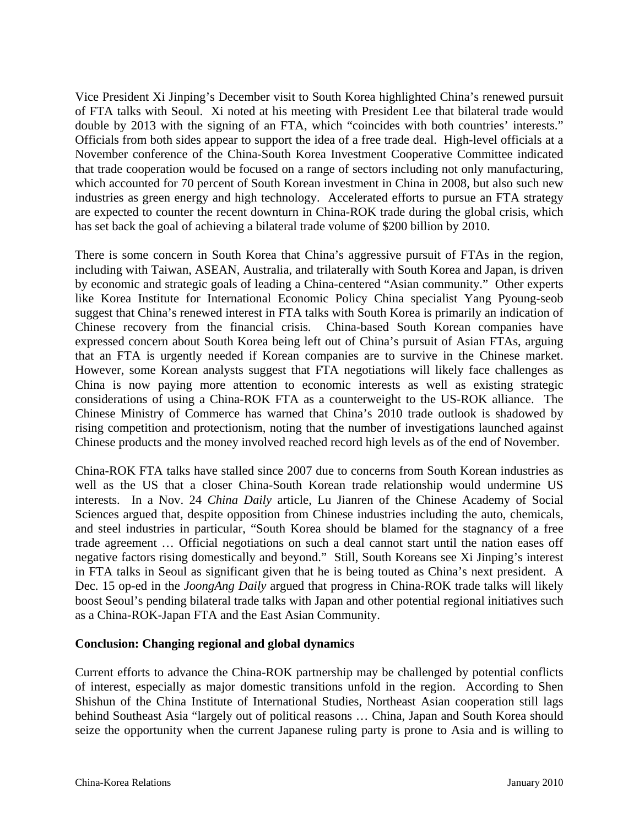Vice President Xi Jinping's December visit to South Korea highlighted China's renewed pursuit of FTA talks with Seoul. Xi noted at his meeting with President Lee that bilateral trade would double by 2013 with the signing of an FTA, which "coincides with both countries' interests." Officials from both sides appear to support the idea of a free trade deal. High-level officials at a November conference of the China-South Korea Investment Cooperative Committee indicated that trade cooperation would be focused on a range of sectors including not only manufacturing, which accounted for 70 percent of South Korean investment in China in 2008, but also such new industries as green energy and high technology. Accelerated efforts to pursue an FTA strategy are expected to counter the recent downturn in China-ROK trade during the global crisis, which has set back the goal of achieving a bilateral trade volume of \$200 billion by 2010.

There is some concern in South Korea that China's aggressive pursuit of FTAs in the region, including with Taiwan, ASEAN, Australia, and trilaterally with South Korea and Japan, is driven by economic and strategic goals of leading a China-centered "Asian community." Other experts like Korea Institute for International Economic Policy China specialist Yang Pyoung-seob suggest that China's renewed interest in FTA talks with South Korea is primarily an indication of Chinese recovery from the financial crisis. China-based South Korean companies have expressed concern about South Korea being left out of China's pursuit of Asian FTAs, arguing that an FTA is urgently needed if Korean companies are to survive in the Chinese market. However, some Korean analysts suggest that FTA negotiations will likely face challenges as China is now paying more attention to economic interests as well as existing strategic considerations of using a China-ROK FTA as a counterweight to the US-ROK alliance. The Chinese Ministry of Commerce has warned that China's 2010 trade outlook is shadowed by rising competition and protectionism, noting that the number of investigations launched against Chinese products and the money involved reached record high levels as of the end of November.

China-ROK FTA talks have stalled since 2007 due to concerns from South Korean industries as well as the US that a closer China-South Korean trade relationship would undermine US interests. In a Nov. 24 *China Daily* article, Lu Jianren of the Chinese Academy of Social Sciences argued that, despite opposition from Chinese industries including the auto, chemicals, and steel industries in particular, "South Korea should be blamed for the stagnancy of a free trade agreement … Official negotiations on such a deal cannot start until the nation eases off negative factors rising domestically and beyond." Still, South Koreans see Xi Jinping's interest in FTA talks in Seoul as significant given that he is being touted as China's next president. A Dec. 15 op-ed in the *JoongAng Daily* argued that progress in China-ROK trade talks will likely boost Seoul's pending bilateral trade talks with Japan and other potential regional initiatives such as a China-ROK-Japan FTA and the East Asian Community.

#### **Conclusion: Changing regional and global dynamics**

Current efforts to advance the China-ROK partnership may be challenged by potential conflicts of interest, especially as major domestic transitions unfold in the region. According to Shen Shishun of the China Institute of International Studies, Northeast Asian cooperation still lags behind Southeast Asia "largely out of political reasons … China, Japan and South Korea should seize the opportunity when the current Japanese ruling party is prone to Asia and is willing to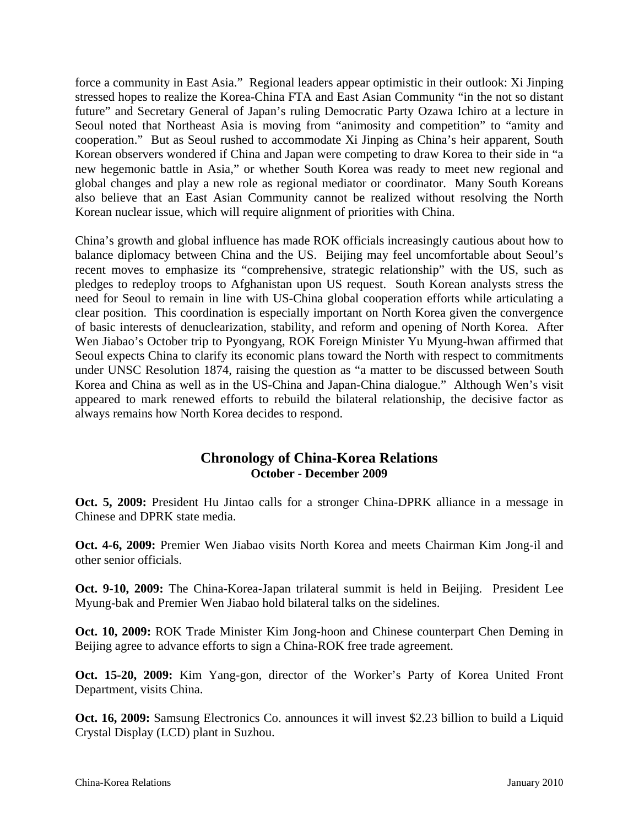force a community in East Asia." Regional leaders appear optimistic in their outlook: Xi Jinping stressed hopes to realize the Korea-China FTA and East Asian Community "in the not so distant future" and Secretary General of Japan's ruling Democratic Party Ozawa Ichiro at a lecture in Seoul noted that Northeast Asia is moving from "animosity and competition" to "amity and cooperation." But as Seoul rushed to accommodate Xi Jinping as China's heir apparent, South Korean observers wondered if China and Japan were competing to draw Korea to their side in "a new hegemonic battle in Asia," or whether South Korea was ready to meet new regional and global changes and play a new role as regional mediator or coordinator. Many South Koreans also believe that an East Asian Community cannot be realized without resolving the North Korean nuclear issue, which will require alignment of priorities with China.

China's growth and global influence has made ROK officials increasingly cautious about how to balance diplomacy between China and the US. Beijing may feel uncomfortable about Seoul's recent moves to emphasize its "comprehensive, strategic relationship" with the US, such as pledges to redeploy troops to Afghanistan upon US request. South Korean analysts stress the need for Seoul to remain in line with US-China global cooperation efforts while articulating a clear position. This coordination is especially important on North Korea given the convergence of basic interests of denuclearization, stability, and reform and opening of North Korea. After Wen Jiabao's October trip to Pyongyang, ROK Foreign Minister Yu Myung-hwan affirmed that Seoul expects China to clarify its economic plans toward the North with respect to commitments under UNSC Resolution 1874, raising the question as "a matter to be discussed between South Korea and China as well as in the US-China and Japan-China dialogue." Although Wen's visit appeared to mark renewed efforts to rebuild the bilateral relationship, the decisive factor as always remains how North Korea decides to respond.

# **Chronology of China-Korea Relations October - December 2009**

**Oct. 5, 2009:** President Hu Jintao calls for a stronger China-DPRK alliance in a message in Chinese and DPRK state media.

**Oct. 4-6, 2009:** Premier Wen Jiabao visits North Korea and meets Chairman Kim Jong-il and other senior officials.

**Oct. 9-10, 2009:** The China-Korea-Japan trilateral summit is held in Beijing. President Lee Myung-bak and Premier Wen Jiabao hold bilateral talks on the sidelines.

**Oct. 10, 2009:** ROK Trade Minister Kim Jong-hoon and Chinese counterpart Chen Deming in Beijing agree to advance efforts to sign a China-ROK free trade agreement.

**Oct. 15-20, 2009:** Kim Yang-gon, director of the Worker's Party of Korea United Front Department, visits China.

**Oct. 16, 2009:** Samsung Electronics Co. announces it will invest \$2.23 billion to build a Liquid Crystal Display (LCD) plant in Suzhou.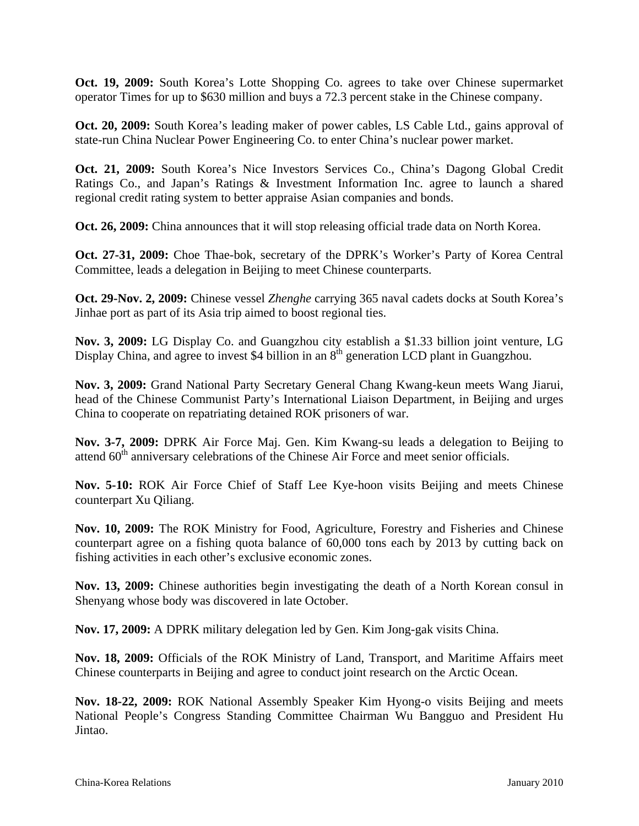**Oct. 19, 2009:** South Korea's Lotte Shopping Co. agrees to take over Chinese supermarket operator Times for up to \$630 million and buys a 72.3 percent stake in the Chinese company.

**Oct. 20, 2009:** South Korea's leading maker of power cables, LS Cable Ltd., gains approval of state-run China Nuclear Power Engineering Co. to enter China's nuclear power market.

**Oct. 21, 2009:** South Korea's Nice Investors Services Co., China's Dagong Global Credit Ratings Co., and Japan's Ratings & Investment Information Inc. agree to launch a shared regional credit rating system to better appraise Asian companies and bonds.

**Oct. 26, 2009:** China announces that it will stop releasing official trade data on North Korea.

**Oct. 27-31, 2009:** Choe Thae-bok, secretary of the DPRK's Worker's Party of Korea Central Committee, leads a delegation in Beijing to meet Chinese counterparts.

**Oct. 29-Nov. 2, 2009:** Chinese vessel *Zhenghe* carrying 365 naval cadets docks at South Korea's Jinhae port as part of its Asia trip aimed to boost regional ties.

**Nov. 3, 2009:** LG Display Co. and Guangzhou city establish a \$1.33 billion joint venture, LG Display China, and agree to invest \$4 billion in an  $8<sup>th</sup>$  generation LCD plant in Guangzhou.

**Nov. 3, 2009:** Grand National Party Secretary General Chang Kwang-keun meets Wang Jiarui, head of the Chinese Communist Party's International Liaison Department, in Beijing and urges China to cooperate on repatriating detained ROK prisoners of war.

**Nov. 3-7, 2009:** DPRK Air Force Maj. Gen. Kim Kwang-su leads a delegation to Beijing to attend  $60<sup>th</sup>$  anniversary celebrations of the Chinese Air Force and meet senior officials.

**Nov. 5-10:** ROK Air Force Chief of Staff Lee Kye-hoon visits Beijing and meets Chinese counterpart Xu Qiliang.

**Nov. 10, 2009:** The ROK Ministry for Food, Agriculture, Forestry and Fisheries and Chinese counterpart agree on a fishing quota balance of 60,000 tons each by 2013 by cutting back on fishing activities in each other's exclusive economic zones.

**Nov. 13, 2009:** Chinese authorities begin investigating the death of a North Korean consul in Shenyang whose body was discovered in late October.

**Nov. 17, 2009:** A DPRK military delegation led by Gen. Kim Jong-gak visits China.

**Nov. 18, 2009:** Officials of the ROK Ministry of Land, Transport, and Maritime Affairs meet Chinese counterparts in Beijing and agree to conduct joint research on the Arctic Ocean.

**Nov. 18-22, 2009:** ROK National Assembly Speaker Kim Hyong-o visits Beijing and meets National People's Congress Standing Committee Chairman Wu Bangguo and President Hu Jintao.